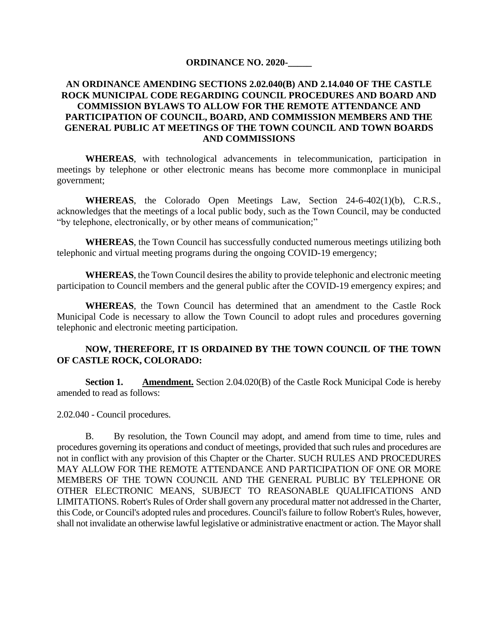#### **ORDINANCE NO. 2020-\_\_\_\_\_**

## **AN ORDINANCE AMENDING SECTIONS 2.02.040(B) AND 2.14.040 OF THE CASTLE ROCK MUNICIPAL CODE REGARDING COUNCIL PROCEDURES AND BOARD AND COMMISSION BYLAWS TO ALLOW FOR THE REMOTE ATTENDANCE AND PARTICIPATION OF COUNCIL, BOARD, AND COMMISSION MEMBERS AND THE GENERAL PUBLIC AT MEETINGS OF THE TOWN COUNCIL AND TOWN BOARDS AND COMMISSIONS**

**WHEREAS**, with technological advancements in telecommunication, participation in meetings by telephone or other electronic means has become more commonplace in municipal government;

**WHEREAS**, the Colorado Open Meetings Law, Section 24-6-402(1)(b), C.R.S., acknowledges that the meetings of a local public body, such as the Town Council, may be conducted "by telephone, electronically, or by other means of communication;"

**WHEREAS**, the Town Council has successfully conducted numerous meetings utilizing both telephonic and virtual meeting programs during the ongoing COVID-19 emergency;

**WHEREAS**, the Town Council desires the ability to provide telephonic and electronic meeting participation to Council members and the general public after the COVID-19 emergency expires; and

**WHEREAS**, the Town Council has determined that an amendment to the Castle Rock Municipal Code is necessary to allow the Town Council to adopt rules and procedures governing telephonic and electronic meeting participation.

### **NOW, THEREFORE, IT IS ORDAINED BY THE TOWN COUNCIL OF THE TOWN OF CASTLE ROCK, COLORADO:**

**Section 1. Amendment.** Section 2.04.020(B) of the Castle Rock Municipal Code is hereby amended to read as follows:

2.02.040 - Council procedures.

B. By resolution, the Town Council may adopt, and amend from time to time, rules and procedures governing its operations and conduct of meetings, provided that such rules and procedures are not in conflict with any provision of this Chapter or the Charter. SUCH RULES AND PROCEDURES MAY ALLOW FOR THE REMOTE ATTENDANCE AND PARTICIPATION OF ONE OR MORE MEMBERS OF THE TOWN COUNCIL AND THE GENERAL PUBLIC BY TELEPHONE OR OTHER ELECTRONIC MEANS, SUBJECT TO REASONABLE QUALIFICATIONS AND LIMITATIONS. Robert's Rules of Order shall govern any procedural matter not addressed in the Charter, this Code, or Council's adopted rules and procedures. Council's failure to follow Robert's Rules, however, shall not invalidate an otherwise lawful legislative or administrative enactment or action. The Mayor shall